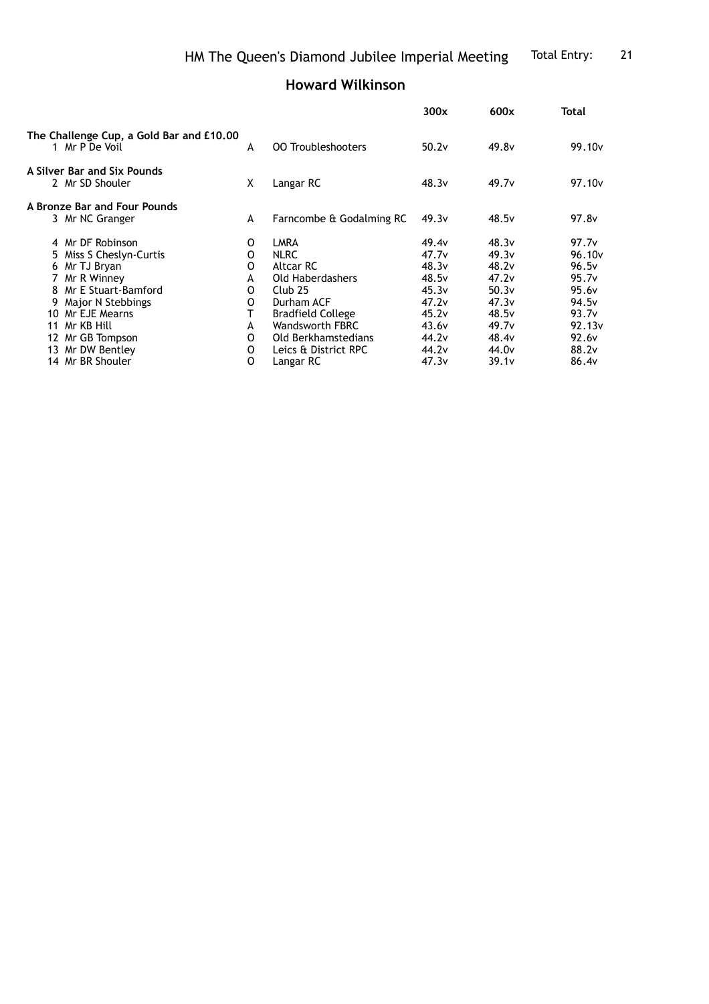## **Howard Wilkinson**

|                                                                                                                                                                                                                                                                                                                                                       |                                          |                   |                   | Total              |
|-------------------------------------------------------------------------------------------------------------------------------------------------------------------------------------------------------------------------------------------------------------------------------------------------------------------------------------------------------|------------------------------------------|-------------------|-------------------|--------------------|
| A                                                                                                                                                                                                                                                                                                                                                     | <b>00 Troubleshooters</b>                | 50.2v             | 49.8 <sub>v</sub> | 99.10 <sub>v</sub> |
| X                                                                                                                                                                                                                                                                                                                                                     | Langar RC                                | 48.3v             | 49.7 <sub>v</sub> | 97.10 <sub>v</sub> |
|                                                                                                                                                                                                                                                                                                                                                       |                                          |                   |                   |                    |
| A                                                                                                                                                                                                                                                                                                                                                     | Farncombe & Godalming RC                 | 49.3v             | 48.5v             | 97.8 <sub>v</sub>  |
| 0                                                                                                                                                                                                                                                                                                                                                     | LMRA                                     | 49.4 <sub>v</sub> | 48.3v             | 97.7v              |
| 0                                                                                                                                                                                                                                                                                                                                                     | <b>NLRC</b>                              | 47.7v             | 49.3v             | 96.10 <sub>v</sub> |
| O                                                                                                                                                                                                                                                                                                                                                     | Altcar RC                                | 48.3v             | 48.2v             | 96.5v              |
| A                                                                                                                                                                                                                                                                                                                                                     | Old Haberdashers                         | 48.5v             | 47.2v             | 95.7v              |
| 0                                                                                                                                                                                                                                                                                                                                                     | Club <sub>25</sub>                       | 45.3v             | 50.3v             | 95.6 <sub>v</sub>  |
| O                                                                                                                                                                                                                                                                                                                                                     | Durham ACF                               | 47.2v             | 47.3v             | 94.5 <sub>v</sub>  |
|                                                                                                                                                                                                                                                                                                                                                       | <b>Bradfield College</b>                 | 45.2v             | 48.5 <sub>v</sub> | 93.7 <sub>v</sub>  |
| A                                                                                                                                                                                                                                                                                                                                                     | <b>Wandsworth FBRC</b>                   | 43.6v             | 49.7 <sub>v</sub> | 92.13v             |
| 0                                                                                                                                                                                                                                                                                                                                                     | Old Berkhamstedians                      | 44.2 <sub>v</sub> | 48.4 <sub>v</sub> | 92.6 <sub>v</sub>  |
| 0                                                                                                                                                                                                                                                                                                                                                     | Leics & District RPC                     | 44.2 <sub>v</sub> | 44.0 <sub>v</sub> | 88.2v              |
| 0                                                                                                                                                                                                                                                                                                                                                     | Langar RC                                | 47.3v             | 39.1 <sub>v</sub> | 86.4v              |
| 1 Mr P De Voil<br>A Silver Bar and Six Pounds<br>2 Mr SD Shouler<br>A Bronze Bar and Four Pounds<br>3 Mr NC Granger<br>4 Mr DF Robinson<br>5 Miss S Cheslyn-Curtis<br>6 Mr TJ Bryan<br>7 Mr R Winney<br>8 Mr E Stuart-Bamford<br>9 Major N Stebbings<br>10 Mr EJE Mearns<br>11 Mr KB Hill<br>12 Mr GB Tompson<br>13 Mr DW Bentley<br>14 Mr BR Shouler | The Challenge Cup, a Gold Bar and £10.00 |                   | 300x              | 600x               |